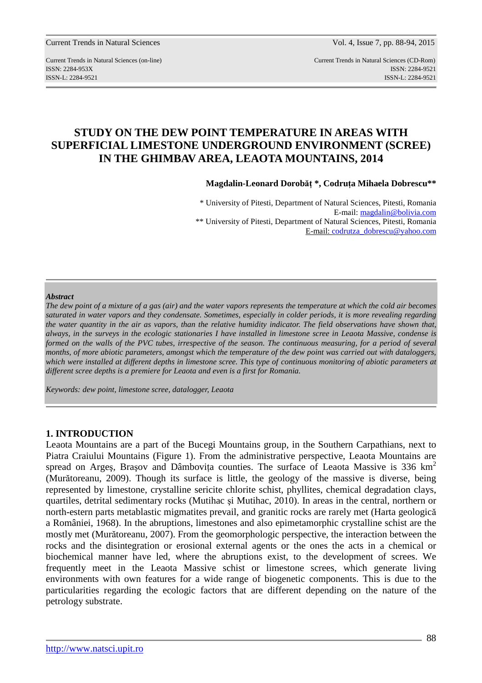Current Trends in Natural Sciences Vol. 4, Issue 7, pp. 88-94, 2015

Current Trends in Natural Sciences (on-line) Current Trends in Natural Sciences (CD-Rom) ISSN: 2284-953XISSN: 2284-9521 ISSN-L: 2284-9521 ISSN-L: 2284-9521

# **STUDY ON THE DEW POINT TEMPERATURE IN AREAS WITH SUPERFICIAL LIMESTONE UNDERGROUND ENVIRONMENT (SCREE) IN THE GHIMBAV AREA, LEAOTA MOUNTAINS, 2014**

**Magdalin-Leonard Dorobăţ \*, Codruţa Mihaela Dobrescu\*\*** 

\* University of Pitesti, Department of Natural Sciences, Pitesti, Romania E-mail: magdalin@bolivia.com \*\* University of Pitesti, Department of Natural Sciences, Pitesti, Romania E-mail: codrutza\_dobrescu@yahoo.com

#### *Abstract*

*The dew point of a mixture of a gas (air) and the water vapors represents the temperature at which the cold air becomes saturated in water vapors and they condensate. Sometimes, especially in colder periods, it is more revealing regarding the water quantity in the air as vapors, than the relative humidity indicator. The field observations have shown that, always, in the surveys in the ecologic stationaries I have installed in limestone scree in Leaota Massive, condense is*  formed on the walls of the PVC tubes, irrespective of the season. The continuous measuring, for a period of several *months, of more abiotic parameters, amongst which the temperature of the dew point was carried out with dataloggers, which were installed at different depths in limestone scree. This type of continuous monitoring of abiotic parameters at different scree depths is a premiere for Leaota and even is a first for Romania.* 

*Keywords: dew point, limestone scree, datalogger, Leaota* 

### **1. INTRODUCTION**

Leaota Mountains are a part of the Bucegi Mountains group, in the Southern Carpathians, next to Piatra Craiului Mountains (Figure 1). From the administrative perspective, Leaota Mountains are spread on Arges, Brasov and Dâmbovita counties. The surface of Leaota Massive is 336  $km<sup>2</sup>$ (Murătoreanu, 2009). Though its surface is little, the geology of the massive is diverse, being represented by limestone, crystalline sericite chlorite schist, phyllites, chemical degradation clays, quartiles, detrital sedimentary rocks (Mutihac şi Mutihac, 2010). In areas in the central, northern or north-estern parts metablastic migmatites prevail, and granitic rocks are rarely met (Harta geologică a României, 1968). In the abruptions, limestones and also epimetamorphic crystalline schist are the mostly met (Murătoreanu, 2007). From the geomorphologic perspective, the interaction between the rocks and the disintegration or erosional external agents or the ones the acts in a chemical or biochemical manner have led, where the abruptions exist, to the development of screes. We frequently meet in the Leaota Massive schist or limestone screes, which generate living environments with own features for a wide range of biogenetic components. This is due to the particularities regarding the ecologic factors that are different depending on the nature of the petrology substrate.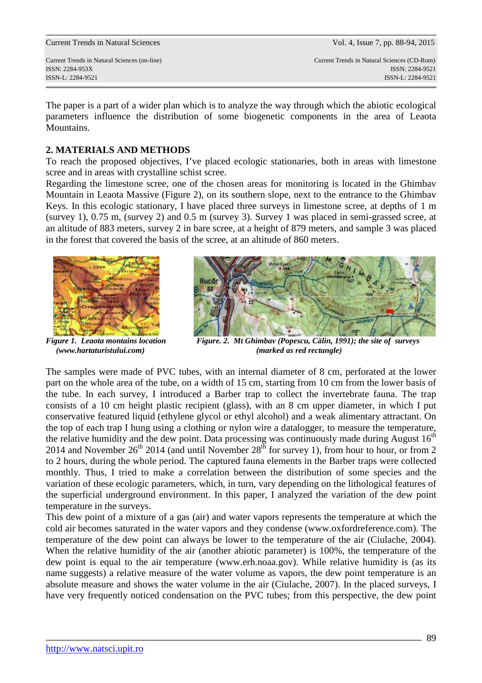Current Trends in Natural Sciences Vol. 4, Issue 7, pp. 88-94, 2015

Current Trends in Natural Sciences (on-line) Current Trends in Natural Sciences (CD-Rom) ISSN: 2284-953XISSN: 2284-9521 ISSN-L: 2284-9521 ISSN-L: 2284-9521

The paper is a part of a wider plan which is to analyze the way through which the abiotic ecological parameters influence the distribution of some biogenetic components in the area of Leaota Mountains.

# **2. MATERIALS AND METHODS**

To reach the proposed objectives, I've placed ecologic stationaries, both in areas with limestone scree and in areas with crystalline schist scree.

Regarding the limestone scree, one of the chosen areas for monitoring is located in the Ghimbav Mountain in Leaota Massive (Figure 2), on its southern slope, next to the entrance to the Ghimbav Keys. In this ecologic stationary, I have placed three surveys in limestone scree, at depths of 1 m (survey 1), 0.75 m, (survey 2) and 0.5 m (survey 3). Survey 1 was placed in semi-grassed scree, at an altitude of 883 meters, survey 2 in bare scree, at a height of 879 meters, and sample 3 was placed in the forest that covered the basis of the scree, at an altitude of 860 meters.



Figure 1. Leaota montains location



*Figure. 2. Mt Ghimbav (Popescu, Călin, 1991); the site of surveys (www.hartaturistului.com) (marked as red rectangle)* 

The samples were made of PVC tubes, with an internal diameter of 8 cm, perforated at the lower part on the whole area of the tube, on a width of 15 cm, starting from 10 cm from the lower basis of the tube. In each survey, I introduced a Barber trap to collect the invertebrate fauna. The trap consists of a 10 cm height plastic recipient (glass), with an 8 cm upper diameter, in which I put conservative featured liquid (ethylene glycol or ethyl alcohol) and a weak alimentary attractant. On the top of each trap I hung using a clothing or nylon wire a datalogger, to measure the temperature, the relative humidity and the dew point. Data processing was continuously made during August  $16<sup>th</sup>$ 2014 and November  $26<sup>th</sup>$  2014 (and until November  $28<sup>th</sup>$  for survey 1), from hour to hour, or from 2 to 2 hours, during the whole period. The captured fauna elements in the Barber traps were collected monthly. Thus, I tried to make a correlation between the distribution of some species and the variation of these ecologic parameters, which, in turn, vary depending on the lithological features of the superficial underground environment. In this paper, I analyzed the variation of the dew point temperature in the surveys.

This dew point of a mixture of a gas (air) and water vapors represents the temperature at which the cold air becomes saturated in the water vapors and they condense (www.oxfordreference.com). The temperature of the dew point can always be lower to the temperature of the air (Ciulache, 2004). When the relative humidity of the air (another abiotic parameter) is 100%, the temperature of the dew point is equal to the air temperature (www.erh.noaa.gov). While relative humidity is (as its name suggests) a relative measure of the water volume as vapors, the dew point temperature is an absolute measure and shows the water volume in the air (Ciulache, 2007). In the placed surveys, I have very frequently noticed condensation on the PVC tubes; from this perspective, the dew point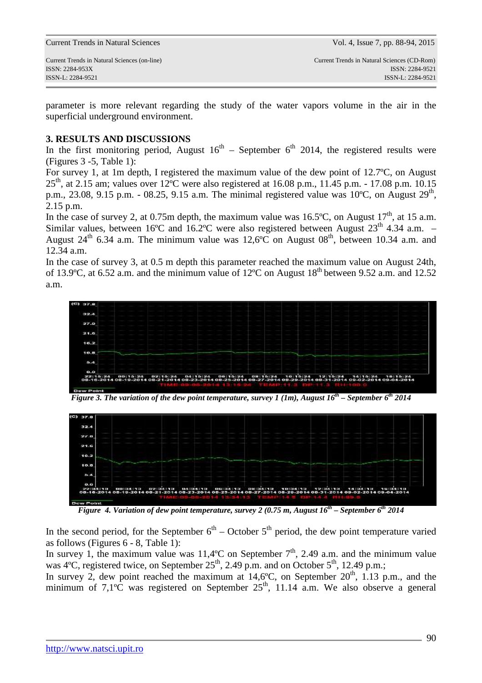|  |  | <b>Current Trends in Natural Sciences</b> |
|--|--|-------------------------------------------|
|--|--|-------------------------------------------|

parameter is more relevant regarding the study of the water vapors volume in the air in the superficial underground environment.

# **3. RESULTS AND DISCUSSIONS**

In the first monitoring period, August  $16<sup>th</sup>$  – September 6<sup>th</sup> 2014, the registered results were (Figures 3 -5, Table 1):

For survey 1, at 1m depth, I registered the maximum value of the dew point of 12.7ºC, on August  $25<sup>th</sup>$ , at 2.15 am; values over 12°C were also registered at 16.08 p.m., 11.45 p.m. - 17.08 p.m. 10.15 p.m., 23.08, 9.15 p.m. - 08.25, 9.15 a.m. The minimal registered value was  $10^{\circ}$ C, on August  $29^{\text{th}}$ , 2.15 p.m.

In the case of survey 2, at 0.75m depth, the maximum value was 16.5°C, on August  $17<sup>th</sup>$ , at 15 a.m. Similar values, between 16°C and 16.2°C were also registered between August  $23<sup>th</sup>$  4.34 a.m. – August 24<sup>th</sup> 6.34 a.m. The minimum value was 12,6°C on August 08<sup>th</sup>, between 10.34 a.m. and 12.34 a.m.

In the case of survey 3, at 0.5 m depth this parameter reached the maximum value on August 24th, of 13.9°C, at 6.52 a.m. and the minimum value of 12°C on August  $18<sup>th</sup>$  between 9.52 a.m. and 12.52 a.m.



*Figure 3. The variation of the dew point temperature, survey 1 (1m), August 16th – September 6th 2014* 



*Figure 4. Variation of dew point temperature, survey 2 (0.75 m, August 16th – September 6th 2014* 

In the second period, for the September  $6<sup>th</sup>$  – October  $5<sup>th</sup>$  period, the dew point temperature varied as follows (Figures 6 - 8, Table 1):

In survey 1, the maximum value was 11,4 $\degree$ C on September  $7^{th}$ , 2.49 a.m. and the minimum value was 4°C, registered twice, on September  $25<sup>th</sup>$ , 2.49 p.m. and on October  $5<sup>th</sup>$ , 12.49 p.m.;

In survey 2, dew point reached the maximum at  $14.6^{\circ}$ C, on September  $20^{\text{th}}$ , 1.13 p.m., and the minimum of  $7.1^{\circ}$ C was registered on September  $25^{\text{th}}$ , 11.14 a.m. We also observe a general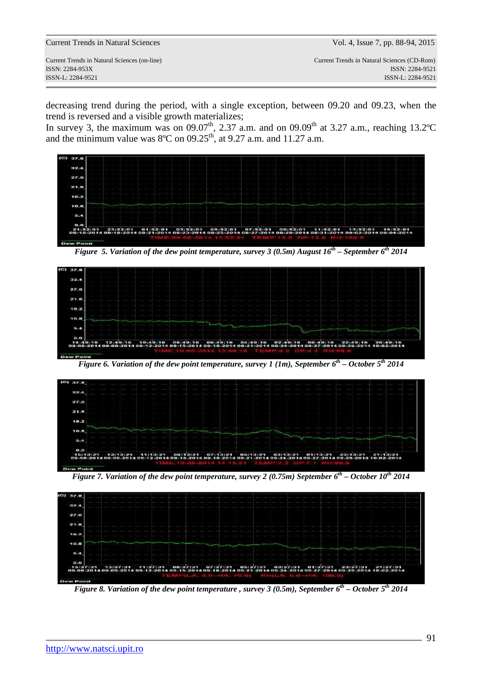Current Trends in Natural Sciences (on-line) Current Trends in Natural Sciences (CD-Rom) ISSN: 2284-953XISSN: 2284-9521 ISSN-L: 2284-9521 ISSN-L: 2284-9521

decreasing trend during the period, with a single exception, between 09.20 and 09.23, when the trend is reversed and a visible growth materializes;

In survey 3, the maximum was on 09.07<sup>th</sup>, 2.37 a.m. and on 09.09<sup>th</sup> at 3.27 a.m., reaching 13.2°C and the minimum value was  $8^{\circ}$ C on 09.25<sup>th</sup>, at 9.27 a.m. and 11.27 a.m.



*Figure 5. Variation of the dew point temperature, survey 3 (0.5m) August 16th – September 6th 2014* 



*Figure 6. Variation of the dew point temperature, survey 1 (1m), September 6th – October 5th 2014* 



*Figure 7. Variation of the dew point temperature, survey 2 (0.75m) September 6th – October 10th 2014* 



*Figure 8. Variation of the dew point temperature , survey 3 (0.5m), September 6th – October 5th 2014*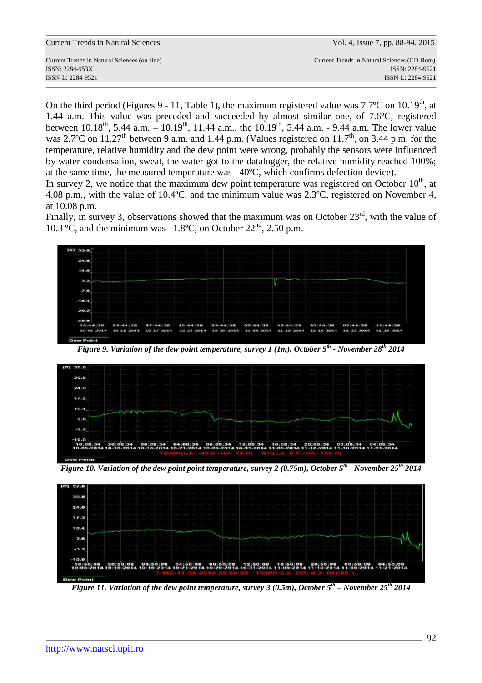Current Trends in Natural Sciences (on-line) Current Trends in Natural Sciences (CD-Rom)

On the third period (Figures 9 - 11, Table 1), the maximum registered value was  $7.7^{\circ}$ C on  $10.19^{\text{th}}$ , at 1.44 a.m. This value was preceded and succeeded by almost similar one, of 7.6ºC, registered between  $10.18^{th}$ , 5.44 a.m. –  $10.19^{th}$ , 11.44 a.m., the  $10.19^{th}$ , 5.44 a.m. - 9.44 a.m. The lower value was 2.7°C on 11.27<sup>th</sup> between 9 a.m. and 1.44 p.m. (Values registered on 11.7<sup>th</sup>, on 3.44 p.m. for the temperature, relative humidity and the dew point were wrong, probably the sensors were influenced by water condensation, sweat, the water got to the datalogger, the relative humidity reached 100%; at the same time, the measured temperature was –40ºC, which confirms defection device).

In survey 2, we notice that the maximum dew point temperature was registered on October  $10<sup>th</sup>$ , at 4.08 p.m., with the value of 10.4ºC, and the minimum value was 2.3ºC, registered on November 4, at 10.08 p.m.

Finally, in survey 3, observations showed that the maximum was on October  $23<sup>rd</sup>$ , with the value of 10.3 °C, and the minimum was  $-1.8$ °C, on October 22<sup>nd</sup>, 2.50 p.m.



*Figure 9. Variation of the dew point temperature, survey 1 (1m), October 5th - November 28th 2014* 



*Figure 10. Variation of the dew point point temperature, survey 2 (0.75m), October 5th - November 25th 2014* 



*Figure 11. Variation of the dew point temperature, survey 3 (0.5m), October 5th – November 25th 2014*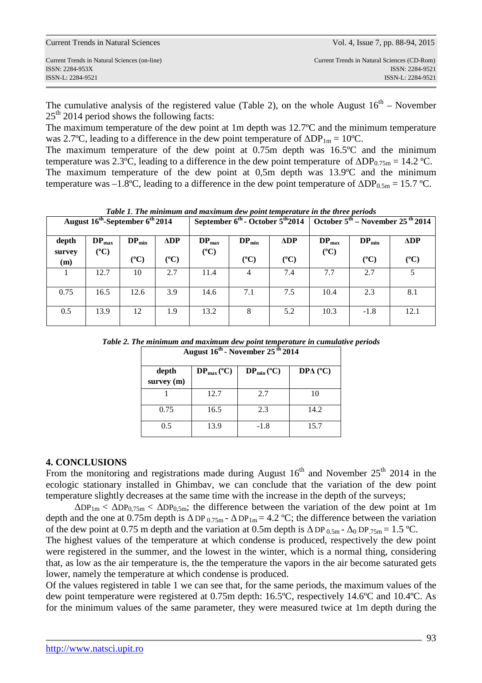| Current Trends in Natural Sciences                                                   | Vol. 4, Issue 7, pp. 88-94, 2015                                                    |
|--------------------------------------------------------------------------------------|-------------------------------------------------------------------------------------|
| Current Trends in Natural Sciences (on-line)<br>ISSN: 2284-953X<br>ISSN-L: 2284-9521 | Current Trends in Natural Sciences (CD-Rom)<br>ISSN: 2284-9521<br>ISSN-L: 2284-9521 |
|                                                                                      |                                                                                     |

The cumulative analysis of the registered value (Table 2), on the whole August  $16<sup>th</sup>$  – November  $25<sup>th</sup>$  2014 period shows the following facts:

The maximum temperature of the dew point at 1m depth was 12.7ºC and the minimum temperature was 2.7°C, leading to a difference in the dew point temperature of  $\Delta DP_{1m} = 10$ °C.

The maximum temperature of the dew point at 0.75m depth was 16.5ºC and the minimum temperature was 2.3°C, leading to a difference in the dew point temperature of  $\Delta DP_{0.75m} = 14.2$  °C. The maximum temperature of the dew point at 0,5m depth was 13.9ºC and the minimum temperature was –1.8°C, leading to a difference in the dew point temperature of  $\Delta DP_{0.5m} = 15.7$  °C.

| raced research monthly will have the contract with point components in the third perfolio<br>September $6^{\text{th}}$ - October $5^{\text{th}}2014$<br>August 16 <sup>th</sup> -September 6 <sup>th</sup> 2014 |               | October $5^{\text{th}}$ – November 25 <sup>th</sup> 2014 |                      |               |               |               |               |            |                      |
|-----------------------------------------------------------------------------------------------------------------------------------------------------------------------------------------------------------------|---------------|----------------------------------------------------------|----------------------|---------------|---------------|---------------|---------------|------------|----------------------|
| depth                                                                                                                                                                                                           | $DP_{max}$    | $DP_{min}$                                               | $\Delta \mathbf{DP}$ | $DP_{max}$    | $DP_{min}$    | <b>ADP</b>    | $DP_{max}$    | $DP_{min}$ | $\Delta \mathbf{DP}$ |
| survey<br>(m)                                                                                                                                                                                                   | $(^{\circ}C)$ | $(^{\circ}C)$                                            | $(^{\circ}C)$        | $(^{\circ}C)$ | $(^{\circ}C)$ | $(^{\circ}C)$ | $(^{\circ}C)$ | $({}^oC)$  | $(^{\circ}C)$        |
|                                                                                                                                                                                                                 | 12.7          | 10                                                       | 2.7                  | 11.4          | 4             | 7.4           | 7.7           | 2.7        | 5                    |
| 0.75                                                                                                                                                                                                            | 16.5          | 12.6                                                     | 3.9                  | 14.6          | 7.1           | 7.5           | 10.4          | 2.3        | 8.1                  |
| 0.5                                                                                                                                                                                                             | 13.9          | 12                                                       | 1.9                  | 13.2          | 8             | 5.2           | 10.3          | $-1.8$     | 12.1                 |

*Table 1. The minimum and maximum dew point temperature in the three periods* 

*Table 2. The minimum and maximum dew point temperature in cumulative periods* 

| August 16 <sup>th</sup> - November 25 <sup>th</sup> 2014 |                          |                        |                 |  |
|----------------------------------------------------------|--------------------------|------------------------|-----------------|--|
| depth<br>survey (m)                                      | $DP_{max} ({}^{\circ}C)$ | $DP_{min} (^{\circ}C)$ | $DP\Delta$ (°C) |  |
|                                                          | 12.7                     | 2.7                    | 10              |  |
| 0.75                                                     | 16.5                     | 2.3                    | 14.2            |  |
| 0.5                                                      | 13.9                     | $-1.8$                 | 15.7            |  |

### **4. CONCLUSIONS**

From the monitoring and registrations made during August  $16<sup>th</sup>$  and November  $25<sup>th</sup>$  2014 in the ecologic stationary installed in Ghimbav, we can conclude that the variation of the dew point temperature slightly decreases at the same time with the increase in the depth of the surveys;

 $\Delta DP_{1m} < \Delta DP_{0,75m} < \Delta DP_{0,5m}$ ; the difference between the variation of the dew point at 1m depth and the one at 0.75m depth is  $\Delta DP_{0.75m}$  -  $\Delta DP_{1m} = 4.2$  °C; the difference between the variation of the dew point at 0.75 m depth and the variation at 0.5m depth is  $\Delta DP_{0.5m}$  -  $\Delta_0 DP_{.75m} = 1.5$  °C.

The highest values of the temperature at which condense is produced, respectively the dew point were registered in the summer, and the lowest in the winter, which is a normal thing, considering that, as low as the air temperature is, the the temperature the vapors in the air become saturated gets lower, namely the temperature at which condense is produced.

Of the values registered in table 1 we can see that, for the same periods, the maximum values of the dew point temperature were registered at 0.75m depth: 16.5ºC, respectively 14.6ºC and 10.4ºC. As for the minimum values of the same parameter, they were measured twice at 1m depth during the